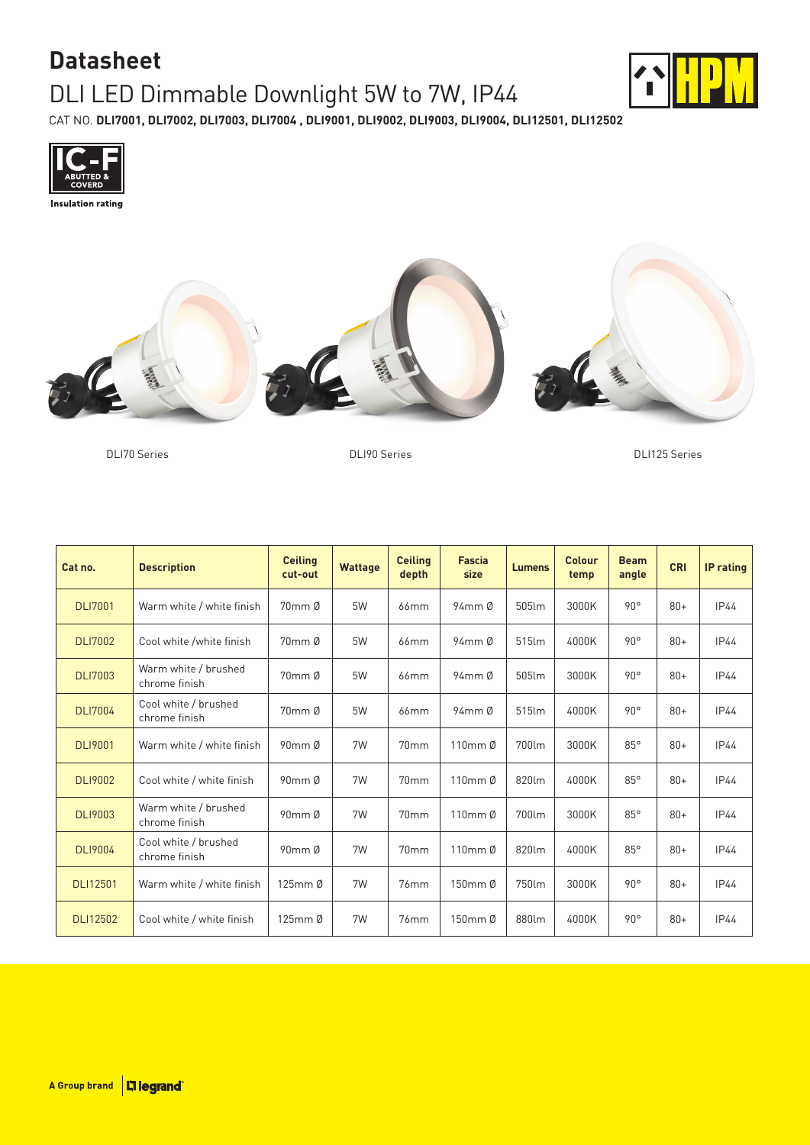## **Datasheet** DLI LED Dimmable Downlight 5W to 7W, IP44



CAT NO. **DLI7001, DLI7002, DLI7003, DLI7004 , DLI9001, DLI9002, DLI9003, DLI9004, DLI12501, DLI12502**





DLI70 Series DLI90 Series DLI125 Series

| Cat no.         | <b>Description</b>                    | <b>Ceiling</b><br>cut-out | <b>Wattage</b> | <b>Ceiling</b><br>depth | <b>Fascia</b><br>size | <b>Lumens</b> | Colour<br>temp | <b>Beam</b><br>angle | <b>CRI</b> | <b>IP</b> rating |
|-----------------|---------------------------------------|---------------------------|----------------|-------------------------|-----------------------|---------------|----------------|----------------------|------------|------------------|
| <b>DLI7001</b>  | Warm white / white finish             | 70mm Ø                    | 5W             | 66mm                    | $94$ mm $\emptyset$   | 505lm         | 3000K          | $90^\circ$           | $80+$      | <b>IP44</b>      |
| <b>DLI7002</b>  | Cool white /white finish              | $70$ mm $\emptyset$       | 5W             | $66$ mm                 | $94$ mm $\emptyset$   | 515lm         | 4000K          | $90^{\circ}$         | $80+$      | <b>IP44</b>      |
| <b>DLI7003</b>  | Warm white / brushed<br>chrome finish | 70mm Ø                    | 5W             | 66mm                    | 94mm Ø                | 505lm         | 3000K          | $90^{\circ}$         | $80+$      | <b>IP44</b>      |
| <b>DLI7004</b>  | Cool white / brushed<br>chrome finish | 70mm Ø                    | 5W             | 66mm                    | $94$ mm $\emptyset$   | 515lm         | 4000K          | $90^{\circ}$         | $80+$      | IP44             |
| <b>DLI9001</b>  | Warm white / white finish             | $90mm$ $\emptyset$        | 7W             | 70mm                    | 110mm Ø               | 700lm         | 3000K          | $85^\circ$           | $80+$      | IP44             |
| <b>DLI9002</b>  | Cool white / white finish             | $90mm$ $\emptyset$        | 7W             | 70mm                    | 110mm Ø               | 820lm         | 4000K          | $85^\circ$           | $80+$      | <b>IP44</b>      |
| <b>DLI9003</b>  | Warm white / brushed<br>chrome finish | $90$ mm $\emptyset$       | 7W             | 70 <sub>mm</sub>        | 110mm Ø               | 700lm         | 3000K          | $85^\circ$           | $80+$      | IP44             |
| <b>DLI9004</b>  | Cool white / brushed<br>chrome finish | $90$ mm $\emptyset$       | 7W             | 70 <sub>mm</sub>        | 110mm Ø               | 820lm         | 4000K          | 85°                  | $80+$      | IP44             |
| <b>DLI12501</b> | Warm white / white finish             | 125mm Ø                   | 7W             | 76mm                    | 150mm Ø               | 750lm         | 3000K          | $90^{\circ}$         | $80+$      | <b>IP44</b>      |
| <b>DLI12502</b> | Cool white / white finish             | 125mm Ø                   | 7W             | 76mm                    | 150mm Ø               | 880lm         | 4000K          | $90^{\circ}$         | $80+$      | IP44             |